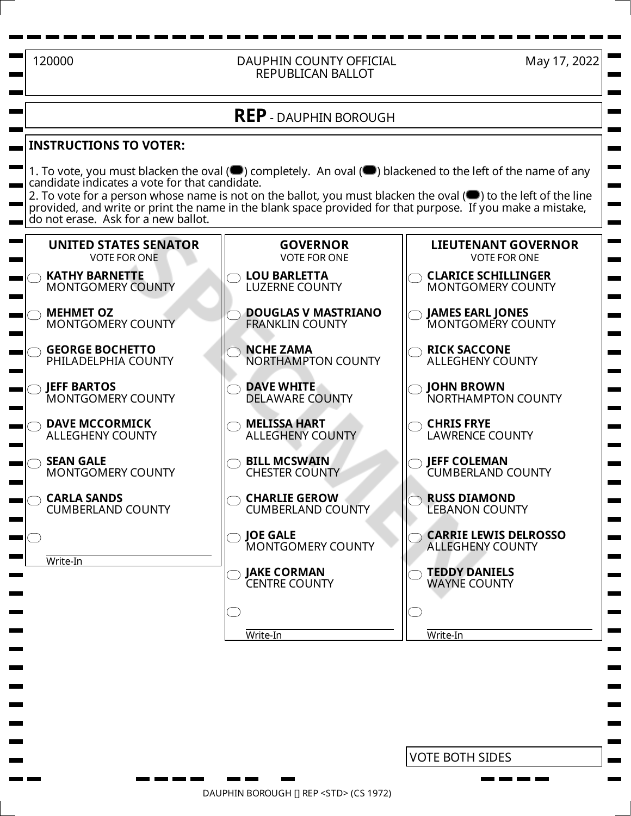## 120000 DAUPHIN COUNTY OFFICIAL REPUBLICAN BALLOT

May 17, 2022

## **REP** - DAUPHIN BOROUGH

## **INSTRUCTIONS TO VOTER:**

1. To vote, you must blacken the oval (●) completely. An oval (●) blackened to the left of the name of any candidate indicates a vote for that candidate.

2. To vote for a person whose name is not on the ballot, you must blacken the oval  $($ **)** to the left of the line provided, and write or print the name in the blank space provided for that purpose. If you make a mistake, do not erase. Ask for a new ballot.



VOTE BOTH SIDES